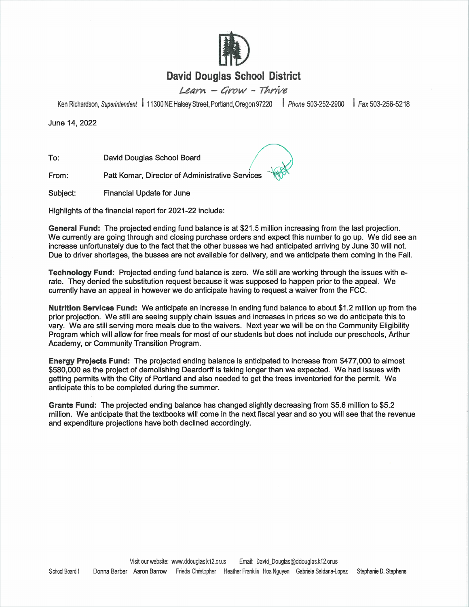

# **David Douglas School District**

Learn - Grow - Thrive

Ken Richardson, Superintendent | 11300 NE Halsey Street, Portland, Oregon 97220 | Phone 503-252-2900 Fax 503-256-5218

June 14, 2022

To: David Douglas School Board

From: Patt Komar, Director of Administrative Services

Subject: **Financial Update for June** 

Highlights of the financial report for 2021-22 include:

General Fund: The projected ending fund balance is at \$21.5 million increasing from the last projection. We currently are going through and closing purchase orders and expect this number to go up. We did see an increase unfortunately due to the fact that the other busses we had anticipated arriving by June 30 will not. Due to driver shortages, the busses are not available for delivery, and we anticipate them coming in the Fall.

Technology Fund: Projected ending fund balance is zero. We still are working through the issues with erate. They denied the substitution request because it was supposed to happen prior to the appeal. We currently have an appeal in however we do anticipate having to request a waiver from the FCC.

Nutrition Services Fund: We anticipate an increase in ending fund balance to about \$1.2 million up from the prior projection. We still are seeing supply chain issues and increases in prices so we do anticipate this to vary. We are still serving more meals due to the waivers. Next year we will be on the Community Eligibility Program which will allow for free meals for most of our students but does not include our preschools. Arthur Academy, or Community Transition Program.

Energy Projects Fund: The projected ending balance is anticipated to increase from \$477,000 to almost \$580,000 as the project of demolishing Deardorff is taking longer than we expected. We had issues with getting permits with the City of Portland and also needed to get the trees inventoried for the permit. We anticipate this to be completed during the summer.

Grants Fund: The projected ending balance has changed slightly decreasing from \$5.6 million to \$5.2 million. We anticipate that the textbooks will come in the next fiscal year and so you will see that the revenue and expenditure projections have both declined accordingly.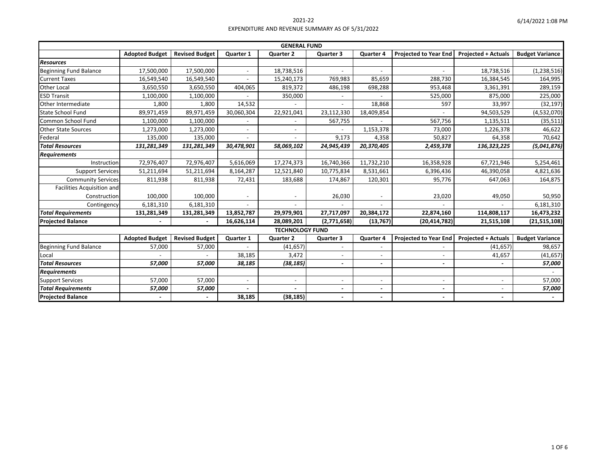| <b>GENERAL FUND</b>           |                       |                       |                  |                        |                          |                          |                              |                            |                        |
|-------------------------------|-----------------------|-----------------------|------------------|------------------------|--------------------------|--------------------------|------------------------------|----------------------------|------------------------|
|                               | <b>Adopted Budget</b> | <b>Revised Budget</b> | <b>Quarter 1</b> | <b>Quarter 2</b>       | <b>Quarter 3</b>         | <b>Quarter 4</b>         | <b>Projected to Year End</b> | <b>Projected + Actuals</b> | <b>Budget Variance</b> |
| <b>Resources</b>              |                       |                       |                  |                        |                          |                          |                              |                            |                        |
| Beginning Fund Balance        | 17,500,000            | 17,500,000            |                  | 18,738,516             |                          |                          |                              | 18,738,516                 | (1, 238, 516)          |
| <b>Current Taxes</b>          | 16,549,540            | 16,549,540            |                  | 15,240,173             | 769,983                  | 85,659                   | 288,730                      | 16,384,545                 | 164,995                |
| Other Local                   | 3,650,550             | 3,650,550             | 404,065          | 819,372                | 486,198                  | 698,288                  | 953,468                      | 3,361,391                  | 289,159                |
| <b>ESD Transit</b>            | 1,100,000             | 1,100,000             |                  | 350,000                |                          |                          | 525,000                      | 875,000                    | 225,000                |
| Other Intermediate            | 1,800                 | 1,800                 | 14,532           |                        |                          | 18,868                   | 597                          | 33,997                     | (32, 197)              |
| <b>State School Fund</b>      | 89,971,459            | 89,971,459            | 30,060,304       | 22,921,041             | 23,112,330               | 18,409,854               |                              | 94,503,529                 | (4,532,070)            |
| Common School Fund            | 1,100,000             | 1,100,000             |                  |                        | 567,755                  |                          | 567,756                      | 1,135,511                  | (35, 511)              |
| <b>Other State Sources</b>    | 1,273,000             | 1,273,000             | $\sim$           |                        |                          | 1,153,378                | 73,000                       | 1,226,378                  | 46,622                 |
| Federal                       | 135,000               | 135,000               |                  |                        | 9,173                    | 4,358                    | 50,827                       | 64,358                     | 70,642                 |
| <b>Total Resources</b>        | 131,281,349           | 131,281,349           | 30,478,901       | 58,069,102             | 24,945,439               | 20,370,405               | 2,459,378                    | 136,323,225                | (5,041,876)            |
| <b>Requirements</b>           |                       |                       |                  |                        |                          |                          |                              |                            |                        |
| Instruction                   | 72,976,407            | 72,976,407            | 5,616,069        | 17,274,373             | 16,740,366               | 11,732,210               | 16,358,928                   | 67,721,946                 | 5,254,461              |
| <b>Support Services</b>       | 51,211,694            | 51,211,694            | 8,164,287        | 12,521,840             | 10,775,834               | 8,531,661                | 6,396,436                    | 46,390,058                 | 4,821,636              |
| <b>Community Services</b>     | 811,938               | 811,938               | 72,431           | 183,688                | 174,867                  | 120,301                  | 95,776                       | 647,063                    | 164,875                |
| Facilities Acquisition and    |                       |                       |                  |                        |                          |                          |                              |                            |                        |
| Construction                  | 100,000               | 100,000               |                  |                        | 26,030                   |                          | 23,020                       | 49,050                     | 50,950                 |
| Contingency                   | 6,181,310             | 6,181,310             |                  |                        |                          |                          |                              |                            | 6,181,310              |
| <b>Total Requirements</b>     | 131,281,349           | 131,281,349           | 13,852,787       | 29,979,901             | 27,717,097               | 20,384,172               | 22,874,160                   | 114,808,117                | 16,473,232             |
| <b>Projected Balance</b>      |                       |                       | 16,626,114       | 28,089,201             | (2,771,658)              | (13, 767)                | (20, 414, 782)               | 21,515,108                 | (21, 515, 108)         |
|                               |                       |                       |                  | <b>TECHNOLOGY FUND</b> |                          |                          |                              |                            |                        |
|                               | <b>Adopted Budget</b> | <b>Revised Budget</b> | Quarter 1        | <b>Quarter 2</b>       | <b>Quarter 3</b>         | <b>Quarter 4</b>         | <b>Projected to Year End</b> | <b>Projected + Actuals</b> | <b>Budget Variance</b> |
| <b>Beginning Fund Balance</b> | 57,000                | 57,000                |                  | (41, 657)              |                          |                          |                              | (41, 657)                  | 98,657                 |
| Local                         |                       |                       | 38,185           | 3,472                  | $\overline{\phantom{a}}$ | $\overline{\phantom{a}}$ |                              | 41,657                     | (41, 657)              |
| <b>Total Resources</b>        | 57,000                | 57,000                | 38,185           | (38, 185)              | $\overline{\phantom{a}}$ | $\overline{\phantom{0}}$ | $\overline{\phantom{a}}$     |                            | 57,000                 |
| <b>Requirements</b>           |                       |                       |                  |                        |                          |                          |                              |                            |                        |
| <b>Support Services</b>       | 57,000                | 57,000                | $\sim$           | $\blacksquare$         | $\blacksquare$           | $\overline{\phantom{a}}$ | $\blacksquare$               | $\overline{\phantom{0}}$   | 57,000                 |
| <b>Total Requirements</b>     | 57,000                | 57,000                |                  |                        | $\overline{\phantom{a}}$ |                          |                              |                            | 57,000                 |
| <b>Projected Balance</b>      |                       |                       | 38,185           | (38, 185)              | $\overline{a}$           |                          | $\blacksquare$               | $\overline{\phantom{a}}$   |                        |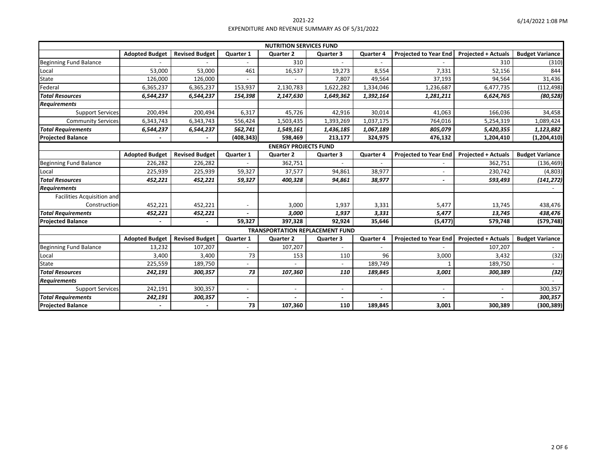| 6/14/2022 1:08 PM |  |  |
|-------------------|--|--|
|-------------------|--|--|

| <b>NUTRITION SERVICES FUND</b>    |                       |                       |                  |                                        |                          |                  |                              |                            |                        |
|-----------------------------------|-----------------------|-----------------------|------------------|----------------------------------------|--------------------------|------------------|------------------------------|----------------------------|------------------------|
|                                   | <b>Adopted Budget</b> | <b>Revised Budget</b> | <b>Quarter 1</b> | <b>Quarter 2</b>                       | <b>Quarter 3</b>         | <b>Quarter 4</b> | <b>Projected to Year End</b> | <b>Projected + Actuals</b> | <b>Budget Variance</b> |
| <b>Beginning Fund Balance</b>     |                       |                       |                  | 310                                    |                          |                  |                              | 310                        | (310)                  |
| Local                             | 53,000                | 53,000                | 461              | 16,537                                 | 19,273                   | 8,554            | 7,331                        | 52,156                     | 844                    |
| State                             | 126,000               | 126,000               |                  |                                        | 7,807                    | 49,564           | 37,193                       | 94,564                     | 31,436                 |
| Federal                           | 6,365,237             | 6,365,237             | 153,937          | 2,130,783                              | 1,622,282                | 1,334,046        | 1,236,687                    | 6,477,735                  | (112, 498)             |
| <b>Total Resources</b>            | 6,544,237             | 6,544,237             | 154,398          | 2,147,630                              | 1,649,362                | 1,392,164        | 1,281,211                    | 6,624,765                  | (80, 528)              |
| <b>Requirements</b>               |                       |                       |                  |                                        |                          |                  |                              |                            |                        |
| <b>Support Services</b>           | 200,494               | 200,494               | 6,317            | 45,726                                 | 42,916                   | 30,014           | 41,063                       | 166,036                    | 34,458                 |
| <b>Community Services</b>         | 6,343,743             | 6,343,743             | 556,424          | 1,503,435                              | 1,393,269                | 1,037,175        | 764,016                      | 5,254,319                  | 1,089,424              |
| <b>Total Requirements</b>         | 6,544,237             | 6,544,237             | 562,741          | 1,549,161                              | 1,436,185                | 1,067,189        | 805,079                      | 5,420,355                  | 1,123,882              |
| <b>Projected Balance</b>          |                       |                       | (408, 343)       | 598,469                                | 213,177                  | 324,975          | 476,132                      | 1,204,410                  | (1, 204, 410)          |
| <b>ENERGY PROJECTS FUND</b>       |                       |                       |                  |                                        |                          |                  |                              |                            |                        |
|                                   | <b>Adopted Budget</b> | <b>Revised Budget</b> | <b>Quarter 1</b> | <b>Quarter 2</b>                       | <b>Quarter 3</b>         | <b>Quarter 4</b> | <b>Projected to Year End</b> | <b>Projected + Actuals</b> | <b>Budget Variance</b> |
| <b>Beginning Fund Balance</b>     | 226,282               | 226,282               |                  | 362,751                                |                          |                  |                              | 362,751                    | (136, 469)             |
| Local                             | 225,939               | 225,939               | 59,327           | 37,577                                 | 94,861                   | 38,977           |                              | 230,742                    | (4,803)                |
| <b>Total Resources</b>            | 452,221               | 452,221               | 59,327           | 400,328                                | 94,861                   | 38,977           | $\overline{\phantom{a}}$     | 593,493                    | (141, 272)             |
| <b>Requirements</b>               |                       |                       |                  |                                        |                          |                  |                              |                            |                        |
| <b>Facilities Acquisition and</b> |                       |                       |                  |                                        |                          |                  |                              |                            |                        |
| Construction                      | 452,221               | 452,221               |                  | 3,000                                  | 1,937                    | 3,331            | 5,477                        | 13,745                     | 438,476                |
| <b>Total Requirements</b>         | 452,221               | 452,221               |                  | 3,000                                  | 1,937                    | 3,331            | 5,477                        | 13,745                     | 438,476                |
| <b>Projected Balance</b>          | $\blacksquare$        |                       | 59,327           | 397,328                                | 92,924                   | 35,646           | (5, 477)                     | 579,748                    | (579, 748)             |
|                                   |                       |                       |                  | <b>TRANSPORTATION REPLACEMENT FUND</b> |                          |                  |                              |                            |                        |
|                                   | <b>Adopted Budget</b> | <b>Revised Budget</b> | <b>Quarter 1</b> | <b>Quarter 2</b>                       | <b>Quarter 3</b>         | <b>Quarter 4</b> | <b>Projected to Year End</b> | <b>Projected + Actuals</b> | <b>Budget Variance</b> |
| <b>Beginning Fund Balance</b>     | 13,232                | 107,207               |                  | 107,207                                |                          |                  |                              | 107,207                    |                        |
| Local                             | 3,400                 | 3,400                 | 73               | 153                                    | 110                      | 96               | 3,000                        | 3,432                      | (32)                   |
| State                             | 225,559               | 189,750               |                  |                                        |                          | 189,749          | $\mathbf{1}$                 | 189,750                    |                        |
| <b>Total Resources</b>            | 242,191               | 300,357               | 73               | 107,360                                | 110                      | 189,845          | 3,001                        | 300,389                    | (32)                   |
| <b>Requirements</b>               |                       |                       |                  |                                        |                          |                  |                              |                            |                        |
| <b>Support Services</b>           | 242,191               | 300,357               |                  | $\blacksquare$                         | $\overline{\phantom{a}}$ |                  | $\overline{\phantom{a}}$     |                            | 300,357                |
| <b>Total Requirements</b>         | 242,191               | 300,357               |                  |                                        |                          |                  |                              |                            | 300,357                |
| <b>Projected Balance</b>          |                       |                       | 73               | 107,360                                | 110                      | 189,845          | 3,001                        | 300,389                    | (300, 389)             |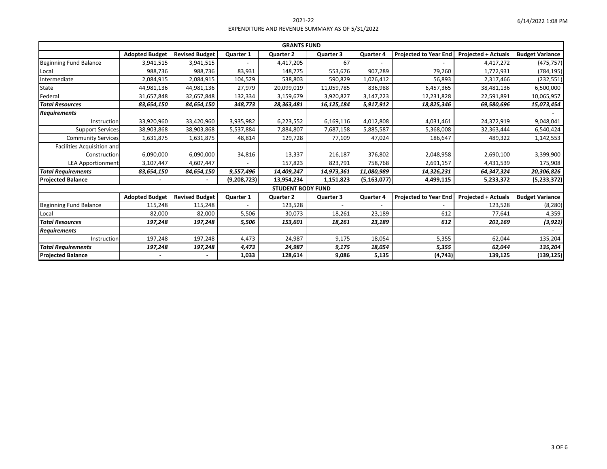| <b>GRANTS FUND</b>                |                       |                       |                  |                          |                  |                  |                              |                            |                        |
|-----------------------------------|-----------------------|-----------------------|------------------|--------------------------|------------------|------------------|------------------------------|----------------------------|------------------------|
|                                   | <b>Adopted Budget</b> | <b>Revised Budget</b> | <b>Quarter 1</b> | <b>Quarter 2</b>         | <b>Quarter 3</b> | <b>Quarter 4</b> | <b>Projected to Year End</b> | <b>Projected + Actuals</b> | <b>Budget Variance</b> |
| <b>Beginning Fund Balance</b>     | 3,941,515             | 3,941,515             |                  | 4,417,205                | 67               |                  |                              | 4,417,272                  | (475, 757)             |
| Local                             | 988,736               | 988,736               | 83,931           | 148,775                  | 553,676          | 907,289          | 79,260                       | 1,772,931                  | (784, 195)             |
| Intermediate                      | 2,084,915             | 2,084,915             | 104,529          | 538,803                  | 590,829          | 1,026,412        | 56,893                       | 2,317,466                  | (232, 551)             |
| <b>State</b>                      | 44,981,136            | 44,981,136            | 27,979           | 20,099,019               | 11,059,785       | 836,988          | 6,457,365                    | 38,481,136                 | 6,500,000              |
| Federal                           | 31,657,848            | 32,657,848            | 132,334          | 3,159,679                | 3,920,827        | 3,147,223        | 12,231,828                   | 22,591,891                 | 10,065,957             |
| <b>Total Resources</b>            | 83,654,150            | 84,654,150            | 348,773          | 28,363,481               | 16,125,184       | 5,917,912        | 18,825,346                   | 69,580,696                 | 15,073,454             |
| <b>Requirements</b>               |                       |                       |                  |                          |                  |                  |                              |                            |                        |
| Instruction                       | 33,920,960            | 33,420,960            | 3,935,982        | 6,223,552                | 6,169,116        | 4,012,808        | 4,031,461                    | 24,372,919                 | 9,048,041              |
| <b>Support Services</b>           | 38,903,868            | 38,903,868            | 5,537,884        | 7,884,807                | 7,687,158        | 5,885,587        | 5,368,008                    | 32,363,444                 | 6,540,424              |
| <b>Community Services</b>         | 1,631,875             | 1,631,875             | 48,814           | 129,728                  | 77,109           | 47,024           | 186,647                      | 489,322                    | 1,142,553              |
| <b>Facilities Acquisition and</b> |                       |                       |                  |                          |                  |                  |                              |                            |                        |
| Construction                      | 6,090,000             | 6,090,000             | 34,816           | 13,337                   | 216,187          | 376,802          | 2,048,958                    | 2,690,100                  | 3,399,900              |
| <b>LEA Apportionment</b>          | 3,107,447             | 4,607,447             |                  | 157,823                  | 823,791          | 758,768          | 2,691,157                    | 4,431,539                  | 175,908                |
| <b>Total Requirements</b>         | 83,654,150            | 84,654,150            | 9,557,496        | 14,409,247               | 14,973,361       | 11,080,989       | 14,326,231                   | 64,347,324                 | 20,306,826             |
| <b>Projected Balance</b>          |                       |                       | (9,208,723)      | 13,954,234               | 1,151,823        | (5, 163, 077)    | 4,499,115                    | 5,233,372                  | (5, 233, 372)          |
|                                   |                       |                       |                  | <b>STUDENT BODY FUND</b> |                  |                  |                              |                            |                        |
|                                   | <b>Adopted Budget</b> | <b>Revised Budget</b> | <b>Quarter 1</b> | <b>Quarter 2</b>         | <b>Quarter 3</b> | <b>Quarter 4</b> | <b>Projected to Year End</b> | <b>Projected + Actuals</b> | <b>Budget Variance</b> |
| <b>Beginning Fund Balance</b>     | 115,248               | 115,248               |                  | 123,528                  | $\overline{a}$   |                  |                              | 123,528                    | (8, 280)               |
| Local                             | 82,000                | 82,000                | 5,506            | 30,073                   | 18,261           | 23,189           | 612                          | 77,641                     | 4,359                  |
| <b>Total Resources</b>            | 197,248               | 197,248               | 5,506            | 153,601                  | 18,261           | 23,189           | 612                          | 201,169                    | (3, 921)               |
| <b>Requirements</b>               |                       |                       |                  |                          |                  |                  |                              |                            |                        |
| Instruction                       | 197,248               | 197,248               | 4,473            | 24,987                   | 9,175            | 18,054           | 5,355                        | 62,044                     | 135,204                |
| <b>Total Requirements</b>         | 197,248               | 197,248               | 4,473            | 24,987                   | 9,175            | 18,054           | 5,355                        | 62,044                     | 135,204                |
| <b>Projected Balance</b>          |                       |                       | 1,033            | 128,614                  | 9,086            | 5,135            | (4, 743)                     | 139,125                    | (139, 125)             |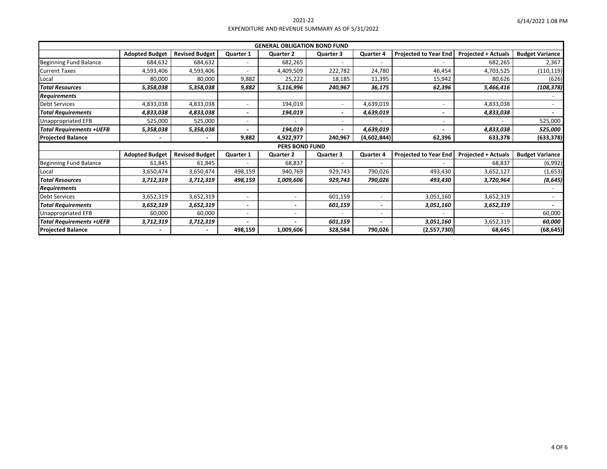| 6/14/2022 1:08 PM |  |  |
|-------------------|--|--|
|-------------------|--|--|

| <b>GENERAL OBLIGATION BOND FUND</b> |                       |                       |                          |                          |                  |                          |                              |                            |                        |
|-------------------------------------|-----------------------|-----------------------|--------------------------|--------------------------|------------------|--------------------------|------------------------------|----------------------------|------------------------|
|                                     | <b>Adopted Budget</b> | <b>Revised Budget</b> | <b>Quarter 1</b>         | <b>Quarter 2</b>         | <b>Quarter 3</b> | <b>Quarter 4</b>         | <b>Projected to Year End</b> | <b>Projected + Actuals</b> | <b>Budget Variance</b> |
| <b>Beginning Fund Balance</b>       | 684,632               | 684,632               |                          | 682,265                  |                  |                          |                              | 682,265                    | 2,367                  |
| <b>Current Taxes</b>                | 4,593,406             | 4,593,406             |                          | 4,409,509                | 222,782          | 24,780                   | 46,454                       | 4,703,525                  | (110, 119)             |
| Local                               | 80,000                | 80,000                | 9,882                    | 25,222                   | 18,185           | 11,395                   | 15,942                       | 80,626                     | (626)                  |
| <b>Total Resources</b>              | 5,358,038             | 5,358,038             | 9,882                    | 5,116,996                | 240,967          | 36,175                   | 62,396                       | 5,466,416                  | (108, 378)             |
| Requirements                        |                       |                       |                          |                          |                  |                          |                              |                            |                        |
| Debt Services                       | 4,833,038             | 4,833,038             |                          | 194,019                  |                  | 4,639,019                |                              | 4,833,038                  |                        |
| <b>Total Requirements</b>           | 4,833,038             | 4,833,038             |                          | 194,019                  |                  | 4,639,019                |                              | 4,833,038                  |                        |
| Jnappropriated EFB                  | 525,000               | 525,000               |                          |                          |                  |                          |                              |                            | 525,000                |
| Total Requirements +UEFB            | 5,358,038             | 5,358,038             |                          | 194,019                  |                  | 4,639,019                |                              | 4,833,038                  | 525,000                |
| <b>Projected Balance</b>            |                       |                       | 9,882                    | 4,922,977                | 240,967          | (4,602,844)              | 62,396                       | 633,378                    | (633, 378)             |
|                                     |                       |                       |                          | <b>PERS BOND FUND</b>    |                  |                          |                              |                            |                        |
|                                     | <b>Adopted Budget</b> | <b>Revised Budget</b> | <b>Quarter 1</b>         | <b>Quarter 2</b>         | <b>Quarter 3</b> | <b>Quarter 4</b>         | <b>Projected to Year End</b> | <b>Projected + Actuals</b> | <b>Budget Variance</b> |
| <b>Beginning Fund Balance</b>       | 61,845                | 61,845                |                          | 68,837                   |                  |                          |                              | 68,837                     | (6,992)                |
| Local                               | 3,650,474             | 3,650,474             | 498,159                  | 940,769                  | 929,743          | 790,026                  | 493,430                      | 3,652,127                  | (1,653)                |
| <b>Total Resources</b>              | 3,712,319             | 3,712,319             | 498,159                  | 1,009,606                | 929,743          | 790,026                  | 493,430                      | 3,720,964                  | (8, 645)               |
| Requirements                        |                       |                       |                          |                          |                  |                          |                              |                            |                        |
| Debt Services                       | 3,652,319             | 3,652,319             | $\overline{\phantom{a}}$ | $\overline{\phantom{a}}$ | 601,159          | $\overline{\phantom{a}}$ | 3,051,160                    | 3,652,319                  |                        |
| Total Requirements                  | 3,652,319             | 3,652,319             |                          | $\overline{\phantom{0}}$ | 601,159          |                          | 3,051,160                    | 3,652,319                  |                        |
| Jnappropriated EFB                  | 60,000                | 60,000                |                          | $\blacksquare$           |                  | $\overline{\phantom{a}}$ |                              |                            | 60,000                 |
| Total Requirements +UEFB            | 3,712,319             | 3,712,319             |                          |                          | 601,159          |                          | 3,051,160                    | 3,652,319                  | 60,000                 |
| <b>Projected Balance</b>            |                       |                       | 498,159                  | 1,009,606                | 328,584          | 790,026                  | (2,557,730)                  | 68,645                     | (68, 645)              |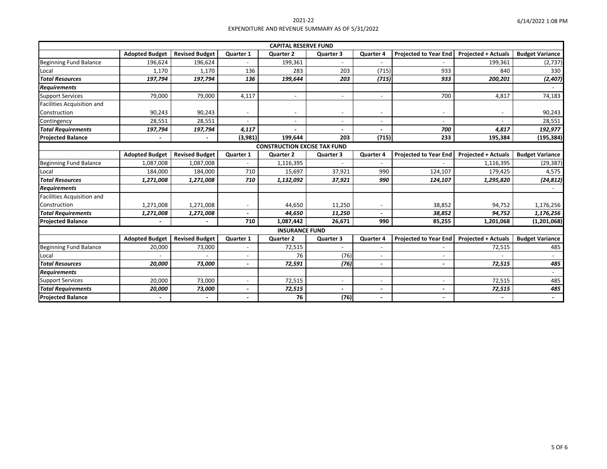|                                     |                       |                       |                  | <b>CAPITAL RESERVE FUND</b> |                          |                          |                              |                            |                        |
|-------------------------------------|-----------------------|-----------------------|------------------|-----------------------------|--------------------------|--------------------------|------------------------------|----------------------------|------------------------|
|                                     | <b>Adopted Budget</b> | <b>Revised Budget</b> | <b>Quarter 1</b> | <b>Quarter 2</b>            | <b>Quarter 3</b>         | <b>Quarter 4</b>         | <b>Projected to Year End</b> | <b>Projected + Actuals</b> | <b>Budget Variance</b> |
| <b>Beginning Fund Balance</b>       | 196,624               | 196,624               |                  | 199,361                     | $\overline{\phantom{0}}$ |                          |                              | 199,361                    | (2,737)                |
| Local                               | 1,170                 | 1,170                 | 136              | 283                         | 203                      | (715)                    | 933                          | 840                        | 330                    |
| <b>Total Resources</b>              | 197,794               | 197,794               | 136              | 199,644                     | 203                      | (715)                    | 933                          | 200,201                    | (2, 407)               |
| <b>Requirements</b>                 |                       |                       |                  |                             |                          |                          |                              |                            |                        |
| <b>Support Services</b>             | 79,000                | 79,000                | 4,117            | $\sim$                      | $\overline{a}$           | $\overline{a}$           | 700                          | 4,817                      | 74,183                 |
| <b>Facilities Acquisition and</b>   |                       |                       |                  |                             |                          |                          |                              |                            |                        |
| Construction                        | 90,243                | 90,243                |                  |                             | $\overline{\phantom{0}}$ |                          |                              |                            | 90,243                 |
| Contingency                         | 28,551                | 28,551                |                  |                             |                          |                          |                              |                            | 28,551                 |
| <b>Total Requirements</b>           | 197,794               | 197,794               | 4,117            |                             | $\overline{\phantom{0}}$ |                          | 700                          | 4,817                      | 192,977                |
| <b>Projected Balance</b>            |                       |                       | (3,981)          | 199,644                     | 203                      | (715)                    | 233                          | 195,384                    | (195, 384)             |
| <b>CONSTRUCTION EXCISE TAX FUND</b> |                       |                       |                  |                             |                          |                          |                              |                            |                        |
|                                     | <b>Adopted Budget</b> | <b>Revised Budget</b> | <b>Quarter 1</b> | <b>Quarter 2</b>            | <b>Quarter 3</b>         | <b>Quarter 4</b>         | <b>Projected to Year End</b> | <b>Projected + Actuals</b> | <b>Budget Variance</b> |
| <b>Beginning Fund Balance</b>       | 1,087,008             | 1,087,008             |                  | 1,116,395                   |                          |                          |                              | 1,116,395                  | (29, 387)              |
| Local                               | 184,000               | 184,000               | 710              | 15,697                      | 37,921                   | 990                      | 124,107                      | 179,425                    | 4,575                  |
| <b>Total Resources</b>              | 1,271,008             | 1,271,008             | 710              | 1,132,092                   | 37,921                   | 990                      | 124,107                      | 1,295,820                  | (24, 812)              |
| <b>Requirements</b>                 |                       |                       |                  |                             |                          |                          |                              |                            |                        |
| <b>Facilities Acquisition and</b>   |                       |                       |                  |                             |                          |                          |                              |                            |                        |
| Construction                        | 1,271,008             | 1,271,008             |                  | 44,650                      | 11,250                   |                          | 38,852                       | 94,752                     | 1,176,256              |
| <b>Total Requirements</b>           | 1,271,008             | 1,271,008             |                  | 44,650                      | 11,250                   | $\overline{\phantom{0}}$ | 38,852                       | 94,752                     | 1,176,256              |
| <b>Projected Balance</b>            |                       |                       | 710              | 1,087,442                   | 26,671                   | 990                      | 85,255                       | 1,201,068                  | (1, 201, 068)          |
|                                     |                       |                       |                  | <b>INSURANCE FUND</b>       |                          |                          |                              |                            |                        |
|                                     | <b>Adopted Budget</b> | <b>Revised Budget</b> | <b>Quarter 1</b> | <b>Quarter 2</b>            | <b>Quarter 3</b>         | <b>Quarter 4</b>         | <b>Projected to Year End</b> | <b>Projected + Actuals</b> | <b>Budget Variance</b> |
| <b>Beginning Fund Balance</b>       | 20,000                | 73,000                |                  | 72,515                      |                          |                          |                              | 72,515                     | 485                    |
| Local                               |                       |                       |                  | 76                          | (76)                     | $\overline{\phantom{a}}$ |                              |                            |                        |
| <b>Total Resources</b>              | 20,000                | 73,000                |                  | 72,591                      | (76)                     | $\overline{\phantom{a}}$ | $\overline{\phantom{a}}$     | 72,515                     | 485                    |
| <b>Requirements</b>                 |                       |                       |                  |                             |                          |                          |                              |                            | $\sim$                 |
| <b>Support Services</b>             | 20,000                | 73,000                |                  | 72,515                      | $\overline{\phantom{0}}$ |                          |                              | 72,515                     | 485                    |
| <b>Total Requirements</b>           | 20,000                | 73,000                |                  | 72,515                      |                          |                          |                              | 72,515                     | 485                    |
| <b>Projected Balance</b>            |                       |                       |                  | 76                          | (76)                     |                          | $\blacksquare$               |                            |                        |